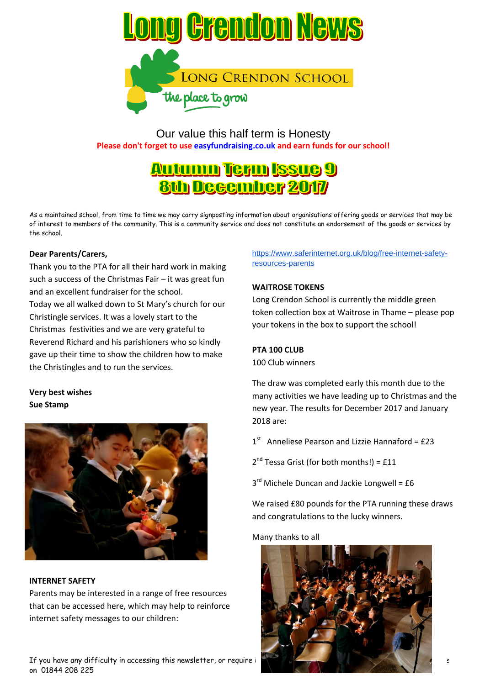

Our value this half term is Honesty **Please don't forget to use easyfundraising.co.uk and earn funds for our school!**

# **Autumn Term Issue 9 8th December 2017**

As a maintained school, from time to time we may carry signposting information about organisations offering goods or services that may be of interest to members of the community. This is a community service and does not constitute an endorsement of the goods or services by the school.

## **Dear Parents/Carers,**

Thank you to the PTA for all their hard work in making such a success of the Christmas Fair – it was great fun and an excellent fundraiser for the school. Today we all walked down to St Mary's church for our Christingle services. It was a lovely start to the Christmas festivities and we are very grateful to Reverend Richard and his parishioners who so kindly gave up their time to show the children how to make the Christingles and to run the services.

# **Very best wishes Sue Stamp**



## **INTERNET SAFETY**

Parents may be interested in a range of free resources that can be accessed here, which may help to reinforce internet safety messages to our children:

If you have any difficulty in accessing this newsletter, or require it in a different format, please contact the school office on 01844 208 225

# [https://www.saferinternet.org.uk/blog/free-internet-safety](https://www.saferinternet.org.uk/blog/free-internet-safety-resources-parents)[resources-parents](https://www.saferinternet.org.uk/blog/free-internet-safety-resources-parents)

## **WAITROSE TOKENS**

Long Crendon School is currently the middle green token collection box at Waitrose in Thame – please pop your tokens in the box to support the school!

## **PTA 100 CLUB**

100 Club winners

The draw was completed early this month due to the many activities we have leading up to Christmas and the new year. The results for December 2017 and January 2018 are:

 $1<sup>st</sup>$ Anneliese Pearson and Lizzie Hannaford = £23

2<sup>nd</sup> Tessa Grist (for both months!) = £11

3<sup>rd</sup> Michele Duncan and Jackie Longwell = £6

We raised £80 pounds for the PTA running these draws and congratulations to the lucky winners.

Many thanks to all